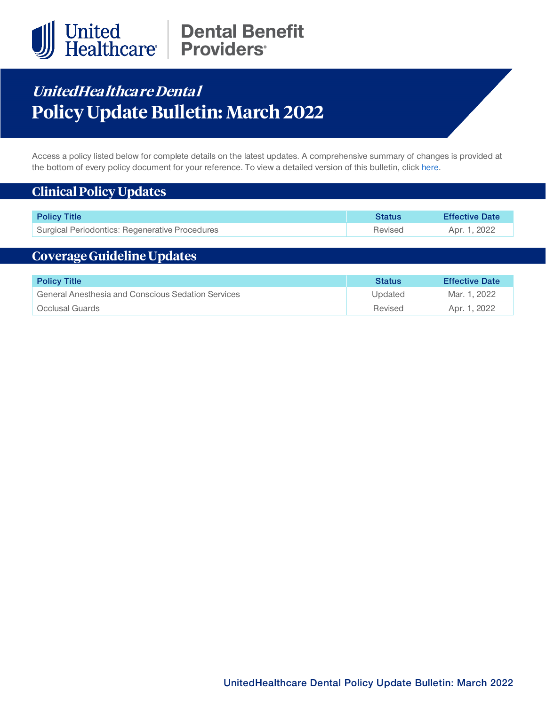

# United Dental Benefit<br>Healthcare Providers

# **UnitedHea lthca re Denta l Policy Update Bulletin: March 2022**

Access a policy listed below for complete details on the latest updates. A comprehensive summary of changes is provided at the bottom of every policy document for your reference. To view a detailed version of this bulletin, clic[k here.](https://www.uhcprovider.com/content/dam/provider/docs/public/policies/mpub-archives/dental/dental-policy-update-bulletin-march-2022-full.pdf)

### **Clinical Policy Updates**

| <b>Policy Title</b>                            | <b>Status</b> | <b>Effective Date</b> |
|------------------------------------------------|---------------|-----------------------|
| Surgical Periodontics: Regenerative Procedures | Revised       | Apr. 1, 2022          |

# **Coverage Guideline Updates**

| <b>Policy Title</b>                                | Status  | <b>Effective Date</b> |
|----------------------------------------------------|---------|-----------------------|
| General Anesthesia and Conscious Sedation Services | Updated | Mar. 1, 2022          |
| Occlusal Guards                                    | Revised | Apr. 1, 2022          |